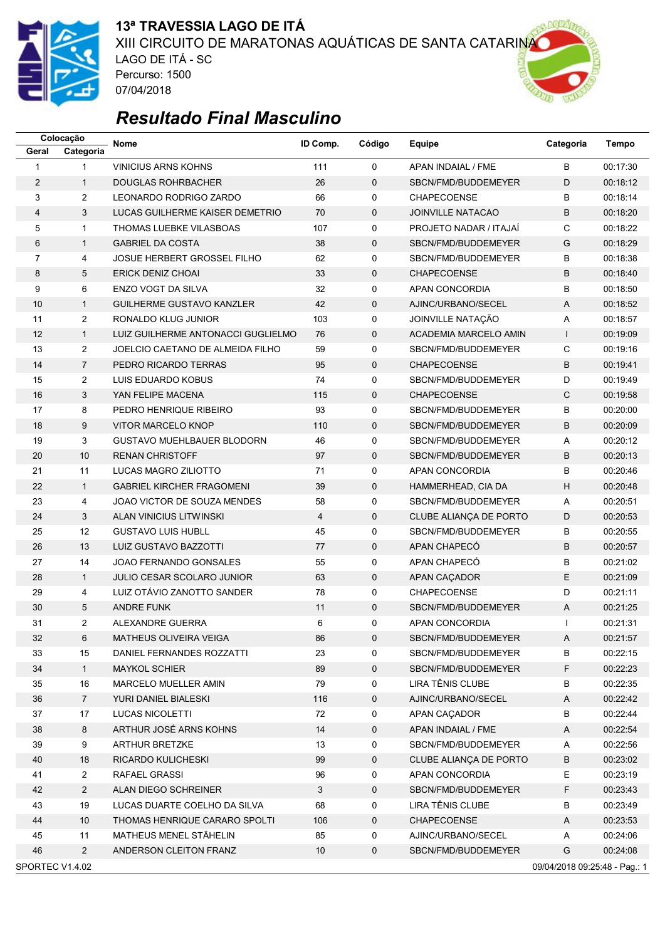

### **13ª TRAVESSIA LAGO DE ITÁ** XIII CIRCUITO DE MARATONAS AQUÁTICAS DE SANTA CATARINA LAGO DE ITÁ - SC Percurso: 1500 07/04/2018

# *Resultado Final Masculino*

| Código<br>Categoria<br>Geral<br>$\mathbf{1}$<br>111<br>0<br>$\mathbf{1}$<br><b>VINICIUS ARNS KOHNS</b><br>APAN INDAIAL / FME | B<br>00:17:30                 |  |
|------------------------------------------------------------------------------------------------------------------------------|-------------------------------|--|
|                                                                                                                              |                               |  |
|                                                                                                                              |                               |  |
| $\mathbf{1}$<br>$\overline{2}$<br>26<br>0<br>SBCN/FMD/BUDDEMEYER<br>D<br>DOUGLAS ROHRBACHER                                  | 00:18:12                      |  |
| $\overline{2}$<br>66<br>3<br>LEONARDO RODRIGO ZARDO<br>0<br><b>CHAPECOENSE</b>                                               | B<br>00:18:14                 |  |
| 3<br>4<br>LUCAS GUILHERME KAISER DEMETRIO<br>70<br>0<br>JOINVILLE NATACAO                                                    | B<br>00:18:20                 |  |
| 107<br>0<br>5<br>1<br>THOMAS LUEBKE VILASBOAS<br>PROJETO NADAR / ITAJAİ                                                      | C<br>00:18:22                 |  |
| G<br>6<br>$\mathbf{1}$<br><b>GABRIEL DA COSTA</b><br>38<br>0<br>SBCN/FMD/BUDDEMEYER                                          | 00:18:29                      |  |
| JOSUE HERBERT GROSSEL FILHO<br>62<br>B<br>7<br>4<br>0<br>SBCN/FMD/BUDDEMEYER                                                 | 00:18:38                      |  |
| 8<br>5<br>ERICK DENIZ CHOAI<br>33<br>$\mathbf 0$<br>CHAPECOENSE                                                              | B<br>00:18:40                 |  |
| 6<br>32<br>0<br>9<br>ENZO VOGT DA SILVA<br>APAN CONCORDIA                                                                    | B<br>00:18:50                 |  |
| $\mathbf{1}$<br>10<br><b>GUILHERME GUSTAVO KANZLER</b><br>42<br>0<br>AJINC/URBANO/SECEL<br>A                                 | 00:18:52                      |  |
| 2<br>103<br>JOINVILLE NATAÇÃO<br>11<br>RONALDO KLUG JUNIOR<br>0                                                              | Α<br>00:18:57                 |  |
| 12<br>$\mathbf{1}$<br>LUIZ GUILHERME ANTONACCI GUGLIELMO<br>76<br>$\mathbf 0$<br>ACADEMIA MARCELO AMIN                       | $\mathbf{I}$<br>00:19:09      |  |
| 13<br>2<br>JOELCIO CAETANO DE ALMEIDA FILHO<br>59<br>0<br>SBCN/FMD/BUDDEMEYER                                                | С<br>00:19:16                 |  |
| $\overline{7}$<br>B<br>14<br>PEDRO RICARDO TERRAS<br>95<br>0<br><b>CHAPECOENSE</b>                                           | 00:19:41                      |  |
| $\overline{c}$<br>LUIS EDUARDO KOBUS<br>74<br>D<br>15<br>0<br>SBCN/FMD/BUDDEMEYER                                            | 00:19:49                      |  |
| $\mathsf{C}$<br>3<br>16<br>YAN FELIPE MACENA<br>115<br>$\mathbf 0$<br><b>CHAPECOENSE</b>                                     | 00:19:58                      |  |
| 8<br>93<br>17<br>PEDRO HENRIQUE RIBEIRO<br>0<br>SBCN/FMD/BUDDEMEYER                                                          | В<br>00:20:00                 |  |
| 18<br>9<br><b>VITOR MARCELO KNOP</b><br>110<br>0<br>SBCN/FMD/BUDDEMEYER                                                      | B<br>00:20:09                 |  |
| 3<br>46<br>19<br>GUSTAVO MUEHLBAUER BLODORN<br>0<br>SBCN/FMD/BUDDEMEYER                                                      | 00:20:12<br>Α                 |  |
| $10$<br>97<br>$\mathbf 0$<br>20<br><b>RENAN CHRISTOFF</b><br>SBCN/FMD/BUDDEMEYER                                             | B<br>00:20:13                 |  |
| 21<br>11<br>LUCAS MAGRO ZILIOTTO<br>71<br>0<br>APAN CONCORDIA                                                                | В<br>00:20:46                 |  |
| Н<br>22<br>$\mathbf{1}$<br><b>GABRIEL KIRCHER FRAGOMENI</b><br>39<br>0<br>HAMMERHEAD, CIA DA                                 | 00:20:48                      |  |
| 4<br>58<br>0<br>23<br>JOAO VICTOR DE SOUZA MENDES<br>SBCN/FMD/BUDDEMEYER                                                     | Α<br>00:20:51                 |  |
| 3<br>$\overline{4}$<br>D<br>24<br>0<br>ALAN VINICIUS LITWINSKI<br>CLUBE ALIANÇA DE PORTO                                     | 00:20:53                      |  |
| 25<br>12<br>45<br>SBCN/FMD/BUDDEMEYER<br><b>GUSTAVO LUIS HUBLL</b><br>0                                                      | B<br>00:20:55                 |  |
| 26<br>13<br>LUIZ GUSTAVO BAZZOTTI<br>77<br>0<br>APAN CHAPECO                                                                 | B<br>00:20:57                 |  |
| 27<br>14<br>55<br>0<br>APAN CHAPECÓ<br><b>JOAO FERNANDO GONSALES</b>                                                         | B<br>00:21:02                 |  |
| 28<br>$\mathbf{1}$<br>JULIO CESAR SCOLARO JUNIOR<br>63<br>0<br>APAN CAÇADOR                                                  | Е<br>00:21:09                 |  |
| 29<br>LUIZ OTÁVIO ZANOTTO SANDER<br>78<br>D<br>4<br>0<br><b>CHAPECOENSE</b>                                                  | 00:21:11                      |  |
| ANDRE FUNK<br>30<br>5<br>11<br>0<br>SBCN/FMD/BUDDEMEYER<br>Α                                                                 | 00:21:25                      |  |
| $\overline{2}$<br>6<br>31<br>ALEXANDRE GUERRA<br>0<br>APAN CONCORDIA                                                         | 00:21:31                      |  |
| MATHEUS OLIVEIRA VEIGA<br>SBCN/FMD/BUDDEMEYER<br>32<br>6<br>86<br>0                                                          | 00:21:57<br>A                 |  |
| 33<br>23<br>15<br>DANIEL FERNANDES ROZZATTI<br>0<br>SBCN/FMD/BUDDEMEYER                                                      | 00:22:15<br>В                 |  |
| 34<br>$\mathbf{1}$<br>89<br>$\mathbf 0$<br><b>MAYKOL SCHIER</b><br>SBCN/FMD/BUDDEMEYER                                       | F<br>00:22:23                 |  |
| 35<br>16<br>MARCELO MUELLER AMIN<br>79<br>0<br>LIRA TÊNIS CLUBE                                                              | В<br>00:22:35                 |  |
| 36<br>$\overline{7}$<br>YURI DANIEL BIALESKI<br>AJINC/URBANO/SECEL<br>116<br>0                                               | 00:22:42<br>A                 |  |
| 37<br>17<br><b>LUCAS NICOLETTI</b><br>72<br>0<br>APAN CAÇADOR                                                                | В<br>00:22:44                 |  |
| 38<br>ARTHUR JOSÉ ARNS KOHNS<br>8<br>14<br>0<br>APAN INDAIAL / FME                                                           | A<br>00:22:54                 |  |
| 9<br>39<br><b>ARTHUR BRETZKE</b><br>13<br>0<br>SBCN/FMD/BUDDEMEYER                                                           | Α<br>00:22:56                 |  |
| 40<br>18<br>RICARDO KULICHESKI<br>99<br>0<br>CLUBE ALIANÇA DE PORTO                                                          | В<br>00:23:02                 |  |
| 41<br>$\overline{2}$<br>RAFAEL GRASSI<br>96<br>0<br><b>APAN CONCORDIA</b>                                                    | Ε<br>00:23:19                 |  |
| 42<br>$\overline{2}$<br>ALAN DIEGO SCHREINER<br>3<br>0<br>SBCN/FMD/BUDDEMEYER                                                | F<br>00:23:43                 |  |
| LIRA TÊNIS CLUBE<br>43<br>19<br>LUCAS DUARTE COELHO DA SILVA<br>68<br>0                                                      | В<br>00:23:49                 |  |
| 44<br>10<br>THOMAS HENRIQUE CARARO SPOLTI<br>106<br>0<br>CHAPECOENSE                                                         | 00:23:53<br>A                 |  |
| 45<br>11<br>MATHEUS MENEL STÄHELIN<br>85<br>0<br>AJINC/URBANO/SECEL                                                          | 00:24:06<br>Α                 |  |
| $\overline{2}$<br>G<br>46<br>ANDERSON CLEITON FRANZ<br>10<br>0<br>SBCN/FMD/BUDDEMEYER                                        | 00:24:08                      |  |
| SPORTEC V1.4.02                                                                                                              | 09/04/2018 09:25:48 - Pag.: 1 |  |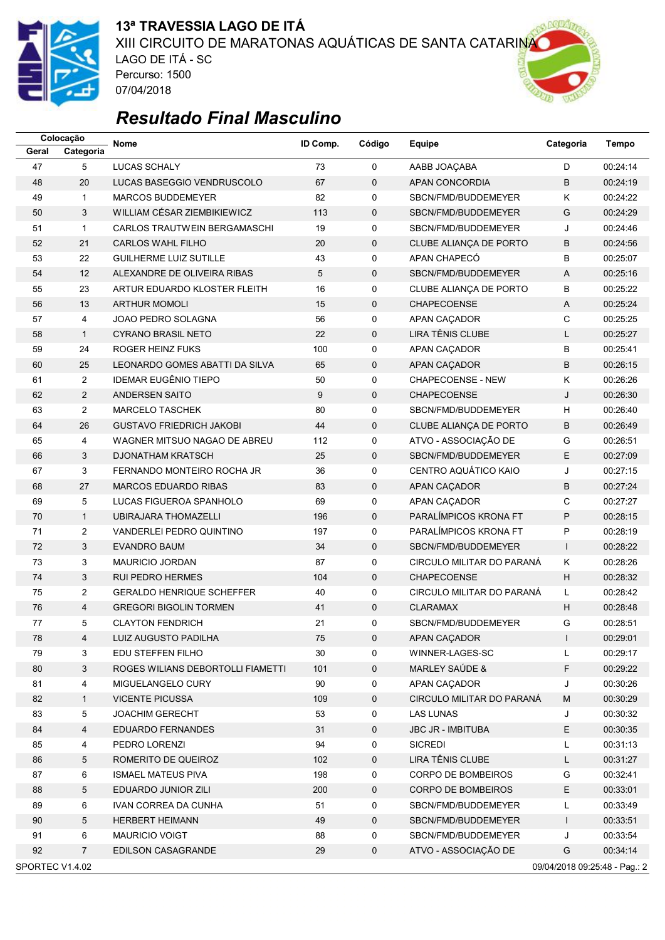

### **13ª TRAVESSIA LAGO DE ITÁ** XIII CIRCUITO DE MARATONAS AQUÁTICAS DE SANTA CATARINA LAGO DE ITÁ - SC Percurso: 1500 07/04/2018



# *Resultado Final Masculino*

| 5<br>47<br><b>LUCAS SCHALY</b><br>73<br>$\mathbf 0$<br>D<br>00:24:14<br>AABB JOAÇABA<br>B<br>48<br>20<br>LUCAS BASEGGIO VENDRUSCOLO<br>67<br>0<br>APAN CONCORDIA<br>00:24:19<br>82<br>Κ<br>00:24:22<br>49<br><b>MARCOS BUDDEMEYER</b><br>0<br>$\mathbf{1}$<br>SBCN/FMD/BUDDEMEYER<br>3<br>WILLIAM CÉSAR ZIEMBIKIEWICZ<br>113<br>G<br>50<br>$\mathbf 0$<br>SBCN/FMD/BUDDEMEYER<br>00:24:29<br>19<br>J<br>51<br>$\mathbf{1}$<br>0<br>00:24:46<br>CARLOS TRAUTWEIN BERGAMASCHI<br>SBCN/FMD/BUDDEMEYER<br>B<br>52<br>21<br><b>CARLOS WAHL FILHO</b><br>20<br>0<br>CLUBE ALIANÇA DE PORTO<br>00:24:56<br>B<br>53<br>22<br><b>GUILHERME LUIZ SUTILLE</b><br>43<br>0<br>APAN CHAPECÓ<br>00:25:07<br>54<br>12<br>5<br>$\mathbf 0$<br>A<br>00:25:16<br>ALEXANDRE DE OLIVEIRA RIBAS<br>SBCN/FMD/BUDDEMEYER<br>B<br>23<br>16<br>0<br>55<br>ARTUR EDUARDO KLOSTER FLEITH<br>00:25:22<br>CLUBE ALIANÇA DE PORTO<br>56<br>13<br><b>ARTHUR MOMOLI</b><br>15<br>0<br><b>CHAPECOENSE</b><br>A<br>00:25:24<br>57<br>C<br>4<br>JOAO PEDRO SOLAGNA<br>56<br>0<br>APAN CAÇADOR<br>00:25:25<br>$\mathbf{1}$<br>22<br>$\mathbf 0$<br>LIRA TÊNIS CLUBE<br>L<br>58<br><b>CYRANO BRASIL NETO</b><br>00:25:27<br>B<br>59<br>24<br>ROGER HEINZ FUKS<br>100<br>0<br>APAN CAÇADOR<br>00:25:41<br>APAN CAÇADOR<br>B<br>00:26:15<br>60<br>25<br>LEONARDO GOMES ABATTI DA SILVA<br>65<br>$\mathbf 0$<br><b>IDEMAR EUGÊNIO TIEPO</b><br>$\overline{2}$<br><b>CHAPECOENSE - NEW</b><br>κ<br>00:26:26<br>61<br>50<br>0<br>62<br>$\overline{2}$<br>9<br>$\mathbf 0$<br>J<br><b>ANDERSEN SAITO</b><br><b>CHAPECOENSE</b><br>00:26:30<br>$\overline{2}$<br>80<br>H<br>63<br><b>MARCELO TASCHEK</b><br>0<br>SBCN/FMD/BUDDEMEYER<br>00:26:40<br>B<br>64<br>26<br><b>GUSTAVO FRIEDRICH JAKOBI</b><br>44<br>$\mathbf 0$<br>CLUBE ALIANÇA DE PORTO<br>00:26:49<br>112<br>ATVO - ASSOCIAÇÃO DE<br>G<br>65<br>4<br>WAGNER MITSUO NAGAO DE ABREU<br>0<br>00:26:51<br>E<br>3<br>25<br>$\mathbf 0$<br>66<br>SBCN/FMD/BUDDEMEYER<br>00:27:09<br><b>DJONATHAM KRATSCH</b><br>3<br>CENTRO AQUÁTICO KAIO<br>J<br>67<br>FERNANDO MONTEIRO ROCHA JR<br>36<br>0<br>00:27:15<br>$\mathbf 0$<br>B<br>68<br>27<br><b>MARCOS EDUARDO RIBAS</b><br>83<br>APAN CAÇADOR<br>00:27:24<br>5<br>C<br>69<br>0<br>APAN CAÇADOR<br>69<br>LUCAS FIGUEROA SPANHOLO<br>00:27:27<br>P<br>$\mathbf 0$<br>PARALÍMPICOS KRONA FT<br>70<br>$\mathbf{1}$<br>196<br>00:28:15<br>UBIRAJARA THOMAZELLI<br>P<br>$\overline{2}$<br>197<br>PARALÍMPICOS KRONA FT<br>00:28:19<br>71<br>VANDERLEI PEDRO QUINTINO<br>0<br>$\mathbf{I}$<br>72<br>3<br>34<br>$\mathbf 0$<br>SBCN/FMD/BUDDEMEYER<br>00:28:22<br>EVANDRO BAUM<br>Κ<br>73<br>3<br>87<br>00:28:26<br><b>MAURICIO JORDAN</b><br>0<br>CIRCULO MILITAR DO PARANA<br>H<br>74<br>3<br>104<br>$\mathbf 0$<br>CHAPECOENSE<br>00:28:32<br>RUI PEDRO HERMES<br>75<br>$\overline{2}$<br>40<br>00:28:42<br><b>GERALDO HENRIQUE SCHEFFER</b><br>0<br>CIRCULO MILITAR DO PARANA<br>L<br>н<br>00:28:48<br>76<br>4<br><b>GREGORI BIGOLIN TORMEN</b><br>41<br>$\mathbf 0$<br><b>CLARAMAX</b><br>G<br>5<br>21<br>SBCN/FMD/BUDDEMEYER<br>00:28:51<br>77<br><b>CLAYTON FENDRICH</b><br>0<br>LUIZ AUGUSTO PADILHA<br>APAN CAÇADOR<br>00:29:01<br>78<br>4<br>75<br>0<br>L<br>79<br>EDU STEFFEN FILHO<br>30<br>00:29:17<br>3<br>0<br>WINNER-LAGES-SC<br>L<br>F<br>80<br>3<br>ROGES WILIANS DEBORTOLLI FIAMETTI<br>101<br>$\mathbf 0$<br>MARLEY SAÚDE &<br>00:29:22<br>J<br>81<br>4<br>MIGUELANGELO CURY<br>90<br>0<br>APAN CAÇADOR<br>00:30:26<br>CIRCULO MILITAR DO PARANÁ<br>82<br>$\mathbf{1}$<br><b>VICENTE PICUSSA</b><br>109<br>00:30:29<br>0<br>M<br>83<br>5<br><b>JOACHIM GERECHT</b><br>53<br>0<br><b>LAS LUNAS</b><br>J<br>00:30:32<br>Ε<br>84<br>4<br><b>EDUARDO FERNANDES</b><br>31<br>$\mathbf 0$<br><b>JBC JR - IMBITUBA</b><br>00:30:35<br>85<br>4<br>PEDRO LORENZI<br>94<br>0<br><b>SICREDI</b><br>L<br>00:31:13<br>LIRA TÊNIS CLUBE<br>86<br>5<br>ROMERITO DE QUEIROZ<br>102<br>$\mathbf 0$<br>L<br>00:31:27<br>87<br>198<br><b>CORPO DE BOMBEIROS</b><br>6<br><b>ISMAEL MATEUS PIVA</b><br>0<br>G<br>00:32:41<br>E.<br>88<br>5<br>EDUARDO JUNIOR ZILI<br>200<br>$\mathbf 0$<br><b>CORPO DE BOMBEIROS</b><br>00:33:01<br>89<br>6<br>IVAN CORREA DA CUNHA<br>51<br>0<br>SBCN/FMD/BUDDEMEYER<br>Г<br>00:33:49<br>90<br>5<br><b>HERBERT HEIMANN</b><br>49<br>$\mathbf 0$<br>SBCN/FMD/BUDDEMEYER<br>$\mathsf{I}$<br>00:33:51<br>91<br>6<br>J<br><b>MAURICIO VOIGT</b><br>88<br>0<br>SBCN/FMD/BUDDEMEYER<br>00:33:54<br>92<br>$\overline{7}$<br>$\pmb{0}$<br>ATVO - ASSOCIAÇÃO DE<br>G<br>29<br>00:34:14<br>EDILSON CASAGRANDE<br>SPORTEC V1.4.02<br>09/04/2018 09:25:48 - Pag.: 2 |       | Colocação | <b>Nome</b> | ID Comp. | Código | Equipe | Categoria | <b>Tempo</b> |
|--------------------------------------------------------------------------------------------------------------------------------------------------------------------------------------------------------------------------------------------------------------------------------------------------------------------------------------------------------------------------------------------------------------------------------------------------------------------------------------------------------------------------------------------------------------------------------------------------------------------------------------------------------------------------------------------------------------------------------------------------------------------------------------------------------------------------------------------------------------------------------------------------------------------------------------------------------------------------------------------------------------------------------------------------------------------------------------------------------------------------------------------------------------------------------------------------------------------------------------------------------------------------------------------------------------------------------------------------------------------------------------------------------------------------------------------------------------------------------------------------------------------------------------------------------------------------------------------------------------------------------------------------------------------------------------------------------------------------------------------------------------------------------------------------------------------------------------------------------------------------------------------------------------------------------------------------------------------------------------------------------------------------------------------------------------------------------------------------------------------------------------------------------------------------------------------------------------------------------------------------------------------------------------------------------------------------------------------------------------------------------------------------------------------------------------------------------------------------------------------------------------------------------------------------------------------------------------------------------------------------------------------------------------------------------------------------------------------------------------------------------------------------------------------------------------------------------------------------------------------------------------------------------------------------------------------------------------------------------------------------------------------------------------------------------------------------------------------------------------------------------------------------------------------------------------------------------------------------------------------------------------------------------------------------------------------------------------------------------------------------------------------------------------------------------------------------------------------------------------------------------------------------------------------------------------------------------------------------------------------------------------------------------------------------------------------------------------------------------------------------------------------------------------------------------------------------------------------------------------------------------------------------------------------------------------------------------------------------------------------------------------------------------------------------------------------------------------------------------------------------------------------------------------------------------------------------------------------------------------------------------------------------------------------------------------------------------------------------------------------------------------------------------------------------------------------------------------------------------------------------------------------------------------------------------------------------------------------------------------------------------------------|-------|-----------|-------------|----------|--------|--------|-----------|--------------|
|                                                                                                                                                                                                                                                                                                                                                                                                                                                                                                                                                                                                                                                                                                                                                                                                                                                                                                                                                                                                                                                                                                                                                                                                                                                                                                                                                                                                                                                                                                                                                                                                                                                                                                                                                                                                                                                                                                                                                                                                                                                                                                                                                                                                                                                                                                                                                                                                                                                                                                                                                                                                                                                                                                                                                                                                                                                                                                                                                                                                                                                                                                                                                                                                                                                                                                                                                                                                                                                                                                                                                                                                                                                                                                                                                                                                                                                                                                                                                                                                                                                                                                                                                                                                                                                                                                                                                                                                                                                                                                                                                                                                                                            | Geral | Categoria |             |          |        |        |           |              |
|                                                                                                                                                                                                                                                                                                                                                                                                                                                                                                                                                                                                                                                                                                                                                                                                                                                                                                                                                                                                                                                                                                                                                                                                                                                                                                                                                                                                                                                                                                                                                                                                                                                                                                                                                                                                                                                                                                                                                                                                                                                                                                                                                                                                                                                                                                                                                                                                                                                                                                                                                                                                                                                                                                                                                                                                                                                                                                                                                                                                                                                                                                                                                                                                                                                                                                                                                                                                                                                                                                                                                                                                                                                                                                                                                                                                                                                                                                                                                                                                                                                                                                                                                                                                                                                                                                                                                                                                                                                                                                                                                                                                                                            |       |           |             |          |        |        |           |              |
|                                                                                                                                                                                                                                                                                                                                                                                                                                                                                                                                                                                                                                                                                                                                                                                                                                                                                                                                                                                                                                                                                                                                                                                                                                                                                                                                                                                                                                                                                                                                                                                                                                                                                                                                                                                                                                                                                                                                                                                                                                                                                                                                                                                                                                                                                                                                                                                                                                                                                                                                                                                                                                                                                                                                                                                                                                                                                                                                                                                                                                                                                                                                                                                                                                                                                                                                                                                                                                                                                                                                                                                                                                                                                                                                                                                                                                                                                                                                                                                                                                                                                                                                                                                                                                                                                                                                                                                                                                                                                                                                                                                                                                            |       |           |             |          |        |        |           |              |
|                                                                                                                                                                                                                                                                                                                                                                                                                                                                                                                                                                                                                                                                                                                                                                                                                                                                                                                                                                                                                                                                                                                                                                                                                                                                                                                                                                                                                                                                                                                                                                                                                                                                                                                                                                                                                                                                                                                                                                                                                                                                                                                                                                                                                                                                                                                                                                                                                                                                                                                                                                                                                                                                                                                                                                                                                                                                                                                                                                                                                                                                                                                                                                                                                                                                                                                                                                                                                                                                                                                                                                                                                                                                                                                                                                                                                                                                                                                                                                                                                                                                                                                                                                                                                                                                                                                                                                                                                                                                                                                                                                                                                                            |       |           |             |          |        |        |           |              |
|                                                                                                                                                                                                                                                                                                                                                                                                                                                                                                                                                                                                                                                                                                                                                                                                                                                                                                                                                                                                                                                                                                                                                                                                                                                                                                                                                                                                                                                                                                                                                                                                                                                                                                                                                                                                                                                                                                                                                                                                                                                                                                                                                                                                                                                                                                                                                                                                                                                                                                                                                                                                                                                                                                                                                                                                                                                                                                                                                                                                                                                                                                                                                                                                                                                                                                                                                                                                                                                                                                                                                                                                                                                                                                                                                                                                                                                                                                                                                                                                                                                                                                                                                                                                                                                                                                                                                                                                                                                                                                                                                                                                                                            |       |           |             |          |        |        |           |              |
|                                                                                                                                                                                                                                                                                                                                                                                                                                                                                                                                                                                                                                                                                                                                                                                                                                                                                                                                                                                                                                                                                                                                                                                                                                                                                                                                                                                                                                                                                                                                                                                                                                                                                                                                                                                                                                                                                                                                                                                                                                                                                                                                                                                                                                                                                                                                                                                                                                                                                                                                                                                                                                                                                                                                                                                                                                                                                                                                                                                                                                                                                                                                                                                                                                                                                                                                                                                                                                                                                                                                                                                                                                                                                                                                                                                                                                                                                                                                                                                                                                                                                                                                                                                                                                                                                                                                                                                                                                                                                                                                                                                                                                            |       |           |             |          |        |        |           |              |
|                                                                                                                                                                                                                                                                                                                                                                                                                                                                                                                                                                                                                                                                                                                                                                                                                                                                                                                                                                                                                                                                                                                                                                                                                                                                                                                                                                                                                                                                                                                                                                                                                                                                                                                                                                                                                                                                                                                                                                                                                                                                                                                                                                                                                                                                                                                                                                                                                                                                                                                                                                                                                                                                                                                                                                                                                                                                                                                                                                                                                                                                                                                                                                                                                                                                                                                                                                                                                                                                                                                                                                                                                                                                                                                                                                                                                                                                                                                                                                                                                                                                                                                                                                                                                                                                                                                                                                                                                                                                                                                                                                                                                                            |       |           |             |          |        |        |           |              |
|                                                                                                                                                                                                                                                                                                                                                                                                                                                                                                                                                                                                                                                                                                                                                                                                                                                                                                                                                                                                                                                                                                                                                                                                                                                                                                                                                                                                                                                                                                                                                                                                                                                                                                                                                                                                                                                                                                                                                                                                                                                                                                                                                                                                                                                                                                                                                                                                                                                                                                                                                                                                                                                                                                                                                                                                                                                                                                                                                                                                                                                                                                                                                                                                                                                                                                                                                                                                                                                                                                                                                                                                                                                                                                                                                                                                                                                                                                                                                                                                                                                                                                                                                                                                                                                                                                                                                                                                                                                                                                                                                                                                                                            |       |           |             |          |        |        |           |              |
|                                                                                                                                                                                                                                                                                                                                                                                                                                                                                                                                                                                                                                                                                                                                                                                                                                                                                                                                                                                                                                                                                                                                                                                                                                                                                                                                                                                                                                                                                                                                                                                                                                                                                                                                                                                                                                                                                                                                                                                                                                                                                                                                                                                                                                                                                                                                                                                                                                                                                                                                                                                                                                                                                                                                                                                                                                                                                                                                                                                                                                                                                                                                                                                                                                                                                                                                                                                                                                                                                                                                                                                                                                                                                                                                                                                                                                                                                                                                                                                                                                                                                                                                                                                                                                                                                                                                                                                                                                                                                                                                                                                                                                            |       |           |             |          |        |        |           |              |
|                                                                                                                                                                                                                                                                                                                                                                                                                                                                                                                                                                                                                                                                                                                                                                                                                                                                                                                                                                                                                                                                                                                                                                                                                                                                                                                                                                                                                                                                                                                                                                                                                                                                                                                                                                                                                                                                                                                                                                                                                                                                                                                                                                                                                                                                                                                                                                                                                                                                                                                                                                                                                                                                                                                                                                                                                                                                                                                                                                                                                                                                                                                                                                                                                                                                                                                                                                                                                                                                                                                                                                                                                                                                                                                                                                                                                                                                                                                                                                                                                                                                                                                                                                                                                                                                                                                                                                                                                                                                                                                                                                                                                                            |       |           |             |          |        |        |           |              |
|                                                                                                                                                                                                                                                                                                                                                                                                                                                                                                                                                                                                                                                                                                                                                                                                                                                                                                                                                                                                                                                                                                                                                                                                                                                                                                                                                                                                                                                                                                                                                                                                                                                                                                                                                                                                                                                                                                                                                                                                                                                                                                                                                                                                                                                                                                                                                                                                                                                                                                                                                                                                                                                                                                                                                                                                                                                                                                                                                                                                                                                                                                                                                                                                                                                                                                                                                                                                                                                                                                                                                                                                                                                                                                                                                                                                                                                                                                                                                                                                                                                                                                                                                                                                                                                                                                                                                                                                                                                                                                                                                                                                                                            |       |           |             |          |        |        |           |              |
|                                                                                                                                                                                                                                                                                                                                                                                                                                                                                                                                                                                                                                                                                                                                                                                                                                                                                                                                                                                                                                                                                                                                                                                                                                                                                                                                                                                                                                                                                                                                                                                                                                                                                                                                                                                                                                                                                                                                                                                                                                                                                                                                                                                                                                                                                                                                                                                                                                                                                                                                                                                                                                                                                                                                                                                                                                                                                                                                                                                                                                                                                                                                                                                                                                                                                                                                                                                                                                                                                                                                                                                                                                                                                                                                                                                                                                                                                                                                                                                                                                                                                                                                                                                                                                                                                                                                                                                                                                                                                                                                                                                                                                            |       |           |             |          |        |        |           |              |
|                                                                                                                                                                                                                                                                                                                                                                                                                                                                                                                                                                                                                                                                                                                                                                                                                                                                                                                                                                                                                                                                                                                                                                                                                                                                                                                                                                                                                                                                                                                                                                                                                                                                                                                                                                                                                                                                                                                                                                                                                                                                                                                                                                                                                                                                                                                                                                                                                                                                                                                                                                                                                                                                                                                                                                                                                                                                                                                                                                                                                                                                                                                                                                                                                                                                                                                                                                                                                                                                                                                                                                                                                                                                                                                                                                                                                                                                                                                                                                                                                                                                                                                                                                                                                                                                                                                                                                                                                                                                                                                                                                                                                                            |       |           |             |          |        |        |           |              |
|                                                                                                                                                                                                                                                                                                                                                                                                                                                                                                                                                                                                                                                                                                                                                                                                                                                                                                                                                                                                                                                                                                                                                                                                                                                                                                                                                                                                                                                                                                                                                                                                                                                                                                                                                                                                                                                                                                                                                                                                                                                                                                                                                                                                                                                                                                                                                                                                                                                                                                                                                                                                                                                                                                                                                                                                                                                                                                                                                                                                                                                                                                                                                                                                                                                                                                                                                                                                                                                                                                                                                                                                                                                                                                                                                                                                                                                                                                                                                                                                                                                                                                                                                                                                                                                                                                                                                                                                                                                                                                                                                                                                                                            |       |           |             |          |        |        |           |              |
|                                                                                                                                                                                                                                                                                                                                                                                                                                                                                                                                                                                                                                                                                                                                                                                                                                                                                                                                                                                                                                                                                                                                                                                                                                                                                                                                                                                                                                                                                                                                                                                                                                                                                                                                                                                                                                                                                                                                                                                                                                                                                                                                                                                                                                                                                                                                                                                                                                                                                                                                                                                                                                                                                                                                                                                                                                                                                                                                                                                                                                                                                                                                                                                                                                                                                                                                                                                                                                                                                                                                                                                                                                                                                                                                                                                                                                                                                                                                                                                                                                                                                                                                                                                                                                                                                                                                                                                                                                                                                                                                                                                                                                            |       |           |             |          |        |        |           |              |
|                                                                                                                                                                                                                                                                                                                                                                                                                                                                                                                                                                                                                                                                                                                                                                                                                                                                                                                                                                                                                                                                                                                                                                                                                                                                                                                                                                                                                                                                                                                                                                                                                                                                                                                                                                                                                                                                                                                                                                                                                                                                                                                                                                                                                                                                                                                                                                                                                                                                                                                                                                                                                                                                                                                                                                                                                                                                                                                                                                                                                                                                                                                                                                                                                                                                                                                                                                                                                                                                                                                                                                                                                                                                                                                                                                                                                                                                                                                                                                                                                                                                                                                                                                                                                                                                                                                                                                                                                                                                                                                                                                                                                                            |       |           |             |          |        |        |           |              |
|                                                                                                                                                                                                                                                                                                                                                                                                                                                                                                                                                                                                                                                                                                                                                                                                                                                                                                                                                                                                                                                                                                                                                                                                                                                                                                                                                                                                                                                                                                                                                                                                                                                                                                                                                                                                                                                                                                                                                                                                                                                                                                                                                                                                                                                                                                                                                                                                                                                                                                                                                                                                                                                                                                                                                                                                                                                                                                                                                                                                                                                                                                                                                                                                                                                                                                                                                                                                                                                                                                                                                                                                                                                                                                                                                                                                                                                                                                                                                                                                                                                                                                                                                                                                                                                                                                                                                                                                                                                                                                                                                                                                                                            |       |           |             |          |        |        |           |              |
|                                                                                                                                                                                                                                                                                                                                                                                                                                                                                                                                                                                                                                                                                                                                                                                                                                                                                                                                                                                                                                                                                                                                                                                                                                                                                                                                                                                                                                                                                                                                                                                                                                                                                                                                                                                                                                                                                                                                                                                                                                                                                                                                                                                                                                                                                                                                                                                                                                                                                                                                                                                                                                                                                                                                                                                                                                                                                                                                                                                                                                                                                                                                                                                                                                                                                                                                                                                                                                                                                                                                                                                                                                                                                                                                                                                                                                                                                                                                                                                                                                                                                                                                                                                                                                                                                                                                                                                                                                                                                                                                                                                                                                            |       |           |             |          |        |        |           |              |
|                                                                                                                                                                                                                                                                                                                                                                                                                                                                                                                                                                                                                                                                                                                                                                                                                                                                                                                                                                                                                                                                                                                                                                                                                                                                                                                                                                                                                                                                                                                                                                                                                                                                                                                                                                                                                                                                                                                                                                                                                                                                                                                                                                                                                                                                                                                                                                                                                                                                                                                                                                                                                                                                                                                                                                                                                                                                                                                                                                                                                                                                                                                                                                                                                                                                                                                                                                                                                                                                                                                                                                                                                                                                                                                                                                                                                                                                                                                                                                                                                                                                                                                                                                                                                                                                                                                                                                                                                                                                                                                                                                                                                                            |       |           |             |          |        |        |           |              |
|                                                                                                                                                                                                                                                                                                                                                                                                                                                                                                                                                                                                                                                                                                                                                                                                                                                                                                                                                                                                                                                                                                                                                                                                                                                                                                                                                                                                                                                                                                                                                                                                                                                                                                                                                                                                                                                                                                                                                                                                                                                                                                                                                                                                                                                                                                                                                                                                                                                                                                                                                                                                                                                                                                                                                                                                                                                                                                                                                                                                                                                                                                                                                                                                                                                                                                                                                                                                                                                                                                                                                                                                                                                                                                                                                                                                                                                                                                                                                                                                                                                                                                                                                                                                                                                                                                                                                                                                                                                                                                                                                                                                                                            |       |           |             |          |        |        |           |              |
|                                                                                                                                                                                                                                                                                                                                                                                                                                                                                                                                                                                                                                                                                                                                                                                                                                                                                                                                                                                                                                                                                                                                                                                                                                                                                                                                                                                                                                                                                                                                                                                                                                                                                                                                                                                                                                                                                                                                                                                                                                                                                                                                                                                                                                                                                                                                                                                                                                                                                                                                                                                                                                                                                                                                                                                                                                                                                                                                                                                                                                                                                                                                                                                                                                                                                                                                                                                                                                                                                                                                                                                                                                                                                                                                                                                                                                                                                                                                                                                                                                                                                                                                                                                                                                                                                                                                                                                                                                                                                                                                                                                                                                            |       |           |             |          |        |        |           |              |
|                                                                                                                                                                                                                                                                                                                                                                                                                                                                                                                                                                                                                                                                                                                                                                                                                                                                                                                                                                                                                                                                                                                                                                                                                                                                                                                                                                                                                                                                                                                                                                                                                                                                                                                                                                                                                                                                                                                                                                                                                                                                                                                                                                                                                                                                                                                                                                                                                                                                                                                                                                                                                                                                                                                                                                                                                                                                                                                                                                                                                                                                                                                                                                                                                                                                                                                                                                                                                                                                                                                                                                                                                                                                                                                                                                                                                                                                                                                                                                                                                                                                                                                                                                                                                                                                                                                                                                                                                                                                                                                                                                                                                                            |       |           |             |          |        |        |           |              |
|                                                                                                                                                                                                                                                                                                                                                                                                                                                                                                                                                                                                                                                                                                                                                                                                                                                                                                                                                                                                                                                                                                                                                                                                                                                                                                                                                                                                                                                                                                                                                                                                                                                                                                                                                                                                                                                                                                                                                                                                                                                                                                                                                                                                                                                                                                                                                                                                                                                                                                                                                                                                                                                                                                                                                                                                                                                                                                                                                                                                                                                                                                                                                                                                                                                                                                                                                                                                                                                                                                                                                                                                                                                                                                                                                                                                                                                                                                                                                                                                                                                                                                                                                                                                                                                                                                                                                                                                                                                                                                                                                                                                                                            |       |           |             |          |        |        |           |              |
|                                                                                                                                                                                                                                                                                                                                                                                                                                                                                                                                                                                                                                                                                                                                                                                                                                                                                                                                                                                                                                                                                                                                                                                                                                                                                                                                                                                                                                                                                                                                                                                                                                                                                                                                                                                                                                                                                                                                                                                                                                                                                                                                                                                                                                                                                                                                                                                                                                                                                                                                                                                                                                                                                                                                                                                                                                                                                                                                                                                                                                                                                                                                                                                                                                                                                                                                                                                                                                                                                                                                                                                                                                                                                                                                                                                                                                                                                                                                                                                                                                                                                                                                                                                                                                                                                                                                                                                                                                                                                                                                                                                                                                            |       |           |             |          |        |        |           |              |
|                                                                                                                                                                                                                                                                                                                                                                                                                                                                                                                                                                                                                                                                                                                                                                                                                                                                                                                                                                                                                                                                                                                                                                                                                                                                                                                                                                                                                                                                                                                                                                                                                                                                                                                                                                                                                                                                                                                                                                                                                                                                                                                                                                                                                                                                                                                                                                                                                                                                                                                                                                                                                                                                                                                                                                                                                                                                                                                                                                                                                                                                                                                                                                                                                                                                                                                                                                                                                                                                                                                                                                                                                                                                                                                                                                                                                                                                                                                                                                                                                                                                                                                                                                                                                                                                                                                                                                                                                                                                                                                                                                                                                                            |       |           |             |          |        |        |           |              |
|                                                                                                                                                                                                                                                                                                                                                                                                                                                                                                                                                                                                                                                                                                                                                                                                                                                                                                                                                                                                                                                                                                                                                                                                                                                                                                                                                                                                                                                                                                                                                                                                                                                                                                                                                                                                                                                                                                                                                                                                                                                                                                                                                                                                                                                                                                                                                                                                                                                                                                                                                                                                                                                                                                                                                                                                                                                                                                                                                                                                                                                                                                                                                                                                                                                                                                                                                                                                                                                                                                                                                                                                                                                                                                                                                                                                                                                                                                                                                                                                                                                                                                                                                                                                                                                                                                                                                                                                                                                                                                                                                                                                                                            |       |           |             |          |        |        |           |              |
|                                                                                                                                                                                                                                                                                                                                                                                                                                                                                                                                                                                                                                                                                                                                                                                                                                                                                                                                                                                                                                                                                                                                                                                                                                                                                                                                                                                                                                                                                                                                                                                                                                                                                                                                                                                                                                                                                                                                                                                                                                                                                                                                                                                                                                                                                                                                                                                                                                                                                                                                                                                                                                                                                                                                                                                                                                                                                                                                                                                                                                                                                                                                                                                                                                                                                                                                                                                                                                                                                                                                                                                                                                                                                                                                                                                                                                                                                                                                                                                                                                                                                                                                                                                                                                                                                                                                                                                                                                                                                                                                                                                                                                            |       |           |             |          |        |        |           |              |
|                                                                                                                                                                                                                                                                                                                                                                                                                                                                                                                                                                                                                                                                                                                                                                                                                                                                                                                                                                                                                                                                                                                                                                                                                                                                                                                                                                                                                                                                                                                                                                                                                                                                                                                                                                                                                                                                                                                                                                                                                                                                                                                                                                                                                                                                                                                                                                                                                                                                                                                                                                                                                                                                                                                                                                                                                                                                                                                                                                                                                                                                                                                                                                                                                                                                                                                                                                                                                                                                                                                                                                                                                                                                                                                                                                                                                                                                                                                                                                                                                                                                                                                                                                                                                                                                                                                                                                                                                                                                                                                                                                                                                                            |       |           |             |          |        |        |           |              |
|                                                                                                                                                                                                                                                                                                                                                                                                                                                                                                                                                                                                                                                                                                                                                                                                                                                                                                                                                                                                                                                                                                                                                                                                                                                                                                                                                                                                                                                                                                                                                                                                                                                                                                                                                                                                                                                                                                                                                                                                                                                                                                                                                                                                                                                                                                                                                                                                                                                                                                                                                                                                                                                                                                                                                                                                                                                                                                                                                                                                                                                                                                                                                                                                                                                                                                                                                                                                                                                                                                                                                                                                                                                                                                                                                                                                                                                                                                                                                                                                                                                                                                                                                                                                                                                                                                                                                                                                                                                                                                                                                                                                                                            |       |           |             |          |        |        |           |              |
|                                                                                                                                                                                                                                                                                                                                                                                                                                                                                                                                                                                                                                                                                                                                                                                                                                                                                                                                                                                                                                                                                                                                                                                                                                                                                                                                                                                                                                                                                                                                                                                                                                                                                                                                                                                                                                                                                                                                                                                                                                                                                                                                                                                                                                                                                                                                                                                                                                                                                                                                                                                                                                                                                                                                                                                                                                                                                                                                                                                                                                                                                                                                                                                                                                                                                                                                                                                                                                                                                                                                                                                                                                                                                                                                                                                                                                                                                                                                                                                                                                                                                                                                                                                                                                                                                                                                                                                                                                                                                                                                                                                                                                            |       |           |             |          |        |        |           |              |
|                                                                                                                                                                                                                                                                                                                                                                                                                                                                                                                                                                                                                                                                                                                                                                                                                                                                                                                                                                                                                                                                                                                                                                                                                                                                                                                                                                                                                                                                                                                                                                                                                                                                                                                                                                                                                                                                                                                                                                                                                                                                                                                                                                                                                                                                                                                                                                                                                                                                                                                                                                                                                                                                                                                                                                                                                                                                                                                                                                                                                                                                                                                                                                                                                                                                                                                                                                                                                                                                                                                                                                                                                                                                                                                                                                                                                                                                                                                                                                                                                                                                                                                                                                                                                                                                                                                                                                                                                                                                                                                                                                                                                                            |       |           |             |          |        |        |           |              |
|                                                                                                                                                                                                                                                                                                                                                                                                                                                                                                                                                                                                                                                                                                                                                                                                                                                                                                                                                                                                                                                                                                                                                                                                                                                                                                                                                                                                                                                                                                                                                                                                                                                                                                                                                                                                                                                                                                                                                                                                                                                                                                                                                                                                                                                                                                                                                                                                                                                                                                                                                                                                                                                                                                                                                                                                                                                                                                                                                                                                                                                                                                                                                                                                                                                                                                                                                                                                                                                                                                                                                                                                                                                                                                                                                                                                                                                                                                                                                                                                                                                                                                                                                                                                                                                                                                                                                                                                                                                                                                                                                                                                                                            |       |           |             |          |        |        |           |              |
|                                                                                                                                                                                                                                                                                                                                                                                                                                                                                                                                                                                                                                                                                                                                                                                                                                                                                                                                                                                                                                                                                                                                                                                                                                                                                                                                                                                                                                                                                                                                                                                                                                                                                                                                                                                                                                                                                                                                                                                                                                                                                                                                                                                                                                                                                                                                                                                                                                                                                                                                                                                                                                                                                                                                                                                                                                                                                                                                                                                                                                                                                                                                                                                                                                                                                                                                                                                                                                                                                                                                                                                                                                                                                                                                                                                                                                                                                                                                                                                                                                                                                                                                                                                                                                                                                                                                                                                                                                                                                                                                                                                                                                            |       |           |             |          |        |        |           |              |
|                                                                                                                                                                                                                                                                                                                                                                                                                                                                                                                                                                                                                                                                                                                                                                                                                                                                                                                                                                                                                                                                                                                                                                                                                                                                                                                                                                                                                                                                                                                                                                                                                                                                                                                                                                                                                                                                                                                                                                                                                                                                                                                                                                                                                                                                                                                                                                                                                                                                                                                                                                                                                                                                                                                                                                                                                                                                                                                                                                                                                                                                                                                                                                                                                                                                                                                                                                                                                                                                                                                                                                                                                                                                                                                                                                                                                                                                                                                                                                                                                                                                                                                                                                                                                                                                                                                                                                                                                                                                                                                                                                                                                                            |       |           |             |          |        |        |           |              |
|                                                                                                                                                                                                                                                                                                                                                                                                                                                                                                                                                                                                                                                                                                                                                                                                                                                                                                                                                                                                                                                                                                                                                                                                                                                                                                                                                                                                                                                                                                                                                                                                                                                                                                                                                                                                                                                                                                                                                                                                                                                                                                                                                                                                                                                                                                                                                                                                                                                                                                                                                                                                                                                                                                                                                                                                                                                                                                                                                                                                                                                                                                                                                                                                                                                                                                                                                                                                                                                                                                                                                                                                                                                                                                                                                                                                                                                                                                                                                                                                                                                                                                                                                                                                                                                                                                                                                                                                                                                                                                                                                                                                                                            |       |           |             |          |        |        |           |              |
|                                                                                                                                                                                                                                                                                                                                                                                                                                                                                                                                                                                                                                                                                                                                                                                                                                                                                                                                                                                                                                                                                                                                                                                                                                                                                                                                                                                                                                                                                                                                                                                                                                                                                                                                                                                                                                                                                                                                                                                                                                                                                                                                                                                                                                                                                                                                                                                                                                                                                                                                                                                                                                                                                                                                                                                                                                                                                                                                                                                                                                                                                                                                                                                                                                                                                                                                                                                                                                                                                                                                                                                                                                                                                                                                                                                                                                                                                                                                                                                                                                                                                                                                                                                                                                                                                                                                                                                                                                                                                                                                                                                                                                            |       |           |             |          |        |        |           |              |
|                                                                                                                                                                                                                                                                                                                                                                                                                                                                                                                                                                                                                                                                                                                                                                                                                                                                                                                                                                                                                                                                                                                                                                                                                                                                                                                                                                                                                                                                                                                                                                                                                                                                                                                                                                                                                                                                                                                                                                                                                                                                                                                                                                                                                                                                                                                                                                                                                                                                                                                                                                                                                                                                                                                                                                                                                                                                                                                                                                                                                                                                                                                                                                                                                                                                                                                                                                                                                                                                                                                                                                                                                                                                                                                                                                                                                                                                                                                                                                                                                                                                                                                                                                                                                                                                                                                                                                                                                                                                                                                                                                                                                                            |       |           |             |          |        |        |           |              |
|                                                                                                                                                                                                                                                                                                                                                                                                                                                                                                                                                                                                                                                                                                                                                                                                                                                                                                                                                                                                                                                                                                                                                                                                                                                                                                                                                                                                                                                                                                                                                                                                                                                                                                                                                                                                                                                                                                                                                                                                                                                                                                                                                                                                                                                                                                                                                                                                                                                                                                                                                                                                                                                                                                                                                                                                                                                                                                                                                                                                                                                                                                                                                                                                                                                                                                                                                                                                                                                                                                                                                                                                                                                                                                                                                                                                                                                                                                                                                                                                                                                                                                                                                                                                                                                                                                                                                                                                                                                                                                                                                                                                                                            |       |           |             |          |        |        |           |              |
|                                                                                                                                                                                                                                                                                                                                                                                                                                                                                                                                                                                                                                                                                                                                                                                                                                                                                                                                                                                                                                                                                                                                                                                                                                                                                                                                                                                                                                                                                                                                                                                                                                                                                                                                                                                                                                                                                                                                                                                                                                                                                                                                                                                                                                                                                                                                                                                                                                                                                                                                                                                                                                                                                                                                                                                                                                                                                                                                                                                                                                                                                                                                                                                                                                                                                                                                                                                                                                                                                                                                                                                                                                                                                                                                                                                                                                                                                                                                                                                                                                                                                                                                                                                                                                                                                                                                                                                                                                                                                                                                                                                                                                            |       |           |             |          |        |        |           |              |
|                                                                                                                                                                                                                                                                                                                                                                                                                                                                                                                                                                                                                                                                                                                                                                                                                                                                                                                                                                                                                                                                                                                                                                                                                                                                                                                                                                                                                                                                                                                                                                                                                                                                                                                                                                                                                                                                                                                                                                                                                                                                                                                                                                                                                                                                                                                                                                                                                                                                                                                                                                                                                                                                                                                                                                                                                                                                                                                                                                                                                                                                                                                                                                                                                                                                                                                                                                                                                                                                                                                                                                                                                                                                                                                                                                                                                                                                                                                                                                                                                                                                                                                                                                                                                                                                                                                                                                                                                                                                                                                                                                                                                                            |       |           |             |          |        |        |           |              |
|                                                                                                                                                                                                                                                                                                                                                                                                                                                                                                                                                                                                                                                                                                                                                                                                                                                                                                                                                                                                                                                                                                                                                                                                                                                                                                                                                                                                                                                                                                                                                                                                                                                                                                                                                                                                                                                                                                                                                                                                                                                                                                                                                                                                                                                                                                                                                                                                                                                                                                                                                                                                                                                                                                                                                                                                                                                                                                                                                                                                                                                                                                                                                                                                                                                                                                                                                                                                                                                                                                                                                                                                                                                                                                                                                                                                                                                                                                                                                                                                                                                                                                                                                                                                                                                                                                                                                                                                                                                                                                                                                                                                                                            |       |           |             |          |        |        |           |              |
|                                                                                                                                                                                                                                                                                                                                                                                                                                                                                                                                                                                                                                                                                                                                                                                                                                                                                                                                                                                                                                                                                                                                                                                                                                                                                                                                                                                                                                                                                                                                                                                                                                                                                                                                                                                                                                                                                                                                                                                                                                                                                                                                                                                                                                                                                                                                                                                                                                                                                                                                                                                                                                                                                                                                                                                                                                                                                                                                                                                                                                                                                                                                                                                                                                                                                                                                                                                                                                                                                                                                                                                                                                                                                                                                                                                                                                                                                                                                                                                                                                                                                                                                                                                                                                                                                                                                                                                                                                                                                                                                                                                                                                            |       |           |             |          |        |        |           |              |
|                                                                                                                                                                                                                                                                                                                                                                                                                                                                                                                                                                                                                                                                                                                                                                                                                                                                                                                                                                                                                                                                                                                                                                                                                                                                                                                                                                                                                                                                                                                                                                                                                                                                                                                                                                                                                                                                                                                                                                                                                                                                                                                                                                                                                                                                                                                                                                                                                                                                                                                                                                                                                                                                                                                                                                                                                                                                                                                                                                                                                                                                                                                                                                                                                                                                                                                                                                                                                                                                                                                                                                                                                                                                                                                                                                                                                                                                                                                                                                                                                                                                                                                                                                                                                                                                                                                                                                                                                                                                                                                                                                                                                                            |       |           |             |          |        |        |           |              |
|                                                                                                                                                                                                                                                                                                                                                                                                                                                                                                                                                                                                                                                                                                                                                                                                                                                                                                                                                                                                                                                                                                                                                                                                                                                                                                                                                                                                                                                                                                                                                                                                                                                                                                                                                                                                                                                                                                                                                                                                                                                                                                                                                                                                                                                                                                                                                                                                                                                                                                                                                                                                                                                                                                                                                                                                                                                                                                                                                                                                                                                                                                                                                                                                                                                                                                                                                                                                                                                                                                                                                                                                                                                                                                                                                                                                                                                                                                                                                                                                                                                                                                                                                                                                                                                                                                                                                                                                                                                                                                                                                                                                                                            |       |           |             |          |        |        |           |              |
|                                                                                                                                                                                                                                                                                                                                                                                                                                                                                                                                                                                                                                                                                                                                                                                                                                                                                                                                                                                                                                                                                                                                                                                                                                                                                                                                                                                                                                                                                                                                                                                                                                                                                                                                                                                                                                                                                                                                                                                                                                                                                                                                                                                                                                                                                                                                                                                                                                                                                                                                                                                                                                                                                                                                                                                                                                                                                                                                                                                                                                                                                                                                                                                                                                                                                                                                                                                                                                                                                                                                                                                                                                                                                                                                                                                                                                                                                                                                                                                                                                                                                                                                                                                                                                                                                                                                                                                                                                                                                                                                                                                                                                            |       |           |             |          |        |        |           |              |
|                                                                                                                                                                                                                                                                                                                                                                                                                                                                                                                                                                                                                                                                                                                                                                                                                                                                                                                                                                                                                                                                                                                                                                                                                                                                                                                                                                                                                                                                                                                                                                                                                                                                                                                                                                                                                                                                                                                                                                                                                                                                                                                                                                                                                                                                                                                                                                                                                                                                                                                                                                                                                                                                                                                                                                                                                                                                                                                                                                                                                                                                                                                                                                                                                                                                                                                                                                                                                                                                                                                                                                                                                                                                                                                                                                                                                                                                                                                                                                                                                                                                                                                                                                                                                                                                                                                                                                                                                                                                                                                                                                                                                                            |       |           |             |          |        |        |           |              |
|                                                                                                                                                                                                                                                                                                                                                                                                                                                                                                                                                                                                                                                                                                                                                                                                                                                                                                                                                                                                                                                                                                                                                                                                                                                                                                                                                                                                                                                                                                                                                                                                                                                                                                                                                                                                                                                                                                                                                                                                                                                                                                                                                                                                                                                                                                                                                                                                                                                                                                                                                                                                                                                                                                                                                                                                                                                                                                                                                                                                                                                                                                                                                                                                                                                                                                                                                                                                                                                                                                                                                                                                                                                                                                                                                                                                                                                                                                                                                                                                                                                                                                                                                                                                                                                                                                                                                                                                                                                                                                                                                                                                                                            |       |           |             |          |        |        |           |              |
|                                                                                                                                                                                                                                                                                                                                                                                                                                                                                                                                                                                                                                                                                                                                                                                                                                                                                                                                                                                                                                                                                                                                                                                                                                                                                                                                                                                                                                                                                                                                                                                                                                                                                                                                                                                                                                                                                                                                                                                                                                                                                                                                                                                                                                                                                                                                                                                                                                                                                                                                                                                                                                                                                                                                                                                                                                                                                                                                                                                                                                                                                                                                                                                                                                                                                                                                                                                                                                                                                                                                                                                                                                                                                                                                                                                                                                                                                                                                                                                                                                                                                                                                                                                                                                                                                                                                                                                                                                                                                                                                                                                                                                            |       |           |             |          |        |        |           |              |